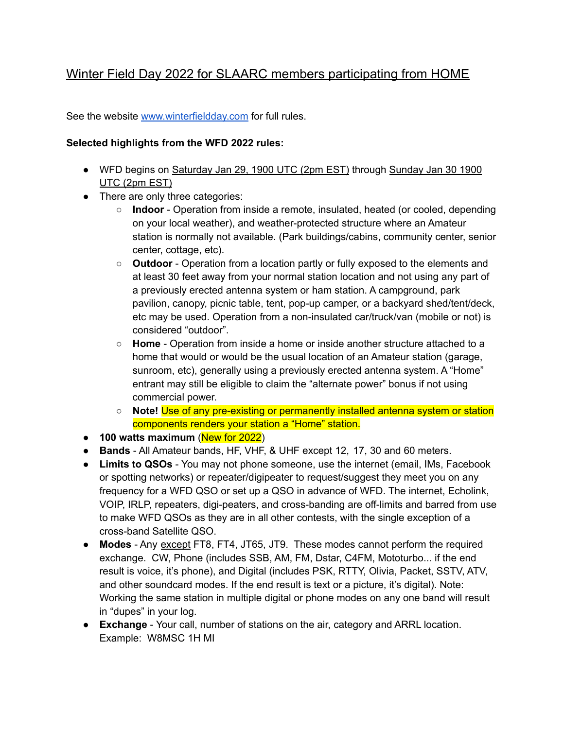# Winter Field Day 2022 for SLAARC members participating from HOME

See the website [www.winterfieldday.com](http://www.winterfieldday.com) for full rules.

## **Selected highlights from the WFD 2022 rules:**

- WFD begins on Saturday Jan 29, 1900 UTC (2pm EST) through Sunday Jan 30 1900 UTC (2pm EST)
- There are only three categories:
	- **Indoor** Operation from inside a remote, insulated, heated (or cooled, depending on your local weather), and weather-protected structure where an Amateur station is normally not available. (Park buildings/cabins, community center, senior center, cottage, etc).
	- **Outdoor** Operation from a location partly or fully exposed to the elements and at least 30 feet away from your normal station location and not using any part of a previously erected antenna system or ham station. A campground, park pavilion, canopy, picnic table, tent, pop-up camper, or a backyard shed/tent/deck, etc may be used. Operation from a non-insulated car/truck/van (mobile or not) is considered "outdoor".
	- **Home** Operation from inside a home or inside another structure attached to a home that would or would be the usual location of an Amateur station (garage, sunroom, etc), generally using a previously erected antenna system. A "Home" entrant may still be eligible to claim the "alternate power" bonus if not using commercial power.
	- **Note!** Use of any pre-existing or permanently installed antenna system or station components renders your station a "Home" station.
- **● 100 watts maximum** (New for 2022)
- **Bands** All Amateur bands, HF, VHF, & UHF except 12, 17, 30 and 60 meters.
- **Limits to QSOs** You may not phone someone, use the internet (email, IMs, Facebook or spotting networks) or repeater/digipeater to request/suggest they meet you on any frequency for a WFD QSO or set up a QSO in advance of WFD. The internet, Echolink, VOIP, IRLP, repeaters, digi-peaters, and cross-banding are off-limits and barred from use to make WFD QSOs as they are in all other contests, with the single exception of a cross-band Satellite QSO.
- **Modes** Any except FT8, FT4, JT65, JT9. These modes cannot perform the required exchange. CW, Phone (includes SSB, AM, FM, Dstar, C4FM, Mototurbo... if the end result is voice, it's phone), and Digital (includes PSK, RTTY, Olivia, Packet, SSTV, ATV, and other soundcard modes. If the end result is text or a picture, it's digital). Note: Working the same station in multiple digital or phone modes on any one band will result in "dupes" in your log.
- **Exchange** Your call, number of stations on the air, category and ARRL location. Example: W8MSC 1H MI